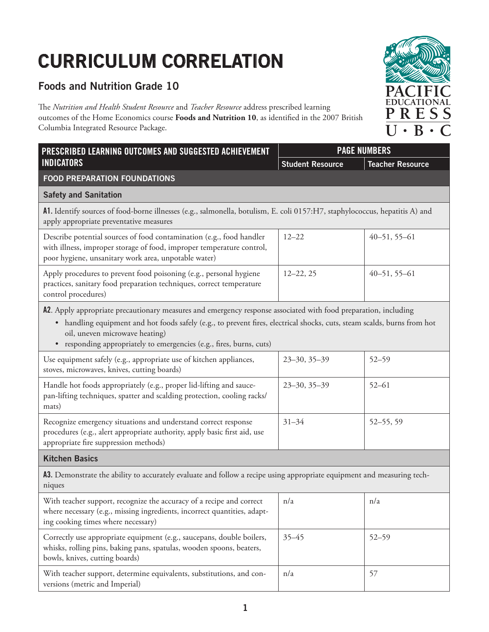## **CURRICULUM CORRELATION**

## **Foods and Nutrition Grade 10**

The *Nutrition and Health Student Resource* and *Teacher Resource* address prescribed learning outcomes of the Home Economics course **Foods and Nutrition 10**, as identified in the 2007 British Columbia Integrated Resource Package.

| PRESCRIBED LEARNING OUTCOMES AND SUGGESTED ACHIEVEMENT<br><b>INDICATORS</b>                                                                                                                                                                                                                                                                           | <b>PAGE NUMBERS</b>     |                         |  |  |
|-------------------------------------------------------------------------------------------------------------------------------------------------------------------------------------------------------------------------------------------------------------------------------------------------------------------------------------------------------|-------------------------|-------------------------|--|--|
|                                                                                                                                                                                                                                                                                                                                                       | <b>Student Resource</b> | <b>Teacher Resource</b> |  |  |
| <b>FOOD PREPARATION FOUNDATIONS</b>                                                                                                                                                                                                                                                                                                                   |                         |                         |  |  |
| <b>Safety and Sanitation</b>                                                                                                                                                                                                                                                                                                                          |                         |                         |  |  |
| A1. Identify sources of food-borne illnesses (e.g., salmonella, botulism, E. coli 0157:H7, staphylococcus, hepatitis A) and<br>apply appropriate preventative measures                                                                                                                                                                                |                         |                         |  |  |
| Describe potential sources of food contamination (e.g., food handler<br>with illness, improper storage of food, improper temperature control,<br>poor hygiene, unsanitary work area, unpotable water)                                                                                                                                                 | $12 - 22$               | $40 - 51, 55 - 61$      |  |  |
| Apply procedures to prevent food poisoning (e.g., personal hygiene<br>practices, sanitary food preparation techniques, correct temperature<br>control procedures)                                                                                                                                                                                     | $12 - 22, 25$           | $40 - 51, 55 - 61$      |  |  |
| A2. Apply appropriate precautionary measures and emergency response associated with food preparation, including<br>• handling equipment and hot foods safely (e.g., to prevent fires, electrical shocks, cuts, steam scalds, burns from hot<br>oil, uneven microwave heating)<br>• responding appropriately to emergencies (e.g., fires, burns, cuts) |                         |                         |  |  |
| Use equipment safely (e.g., appropriate use of kitchen appliances,<br>stoves, microwaves, knives, cutting boards)                                                                                                                                                                                                                                     | $23 - 30, 35 - 39$      | $52 - 59$               |  |  |
| Handle hot foods appropriately (e.g., proper lid-lifting and sauce-<br>pan-lifting techniques, spatter and scalding protection, cooling racks/<br>mats)                                                                                                                                                                                               | $23 - 30, 35 - 39$      | $52 - 61$               |  |  |
| Recognize emergency situations and understand correct response<br>procedures (e.g., alert appropriate authority, apply basic first aid, use<br>appropriate fire suppression methods)                                                                                                                                                                  | $31 - 34$               | 52-55, 59               |  |  |
| <b>Kitchen Basics</b>                                                                                                                                                                                                                                                                                                                                 |                         |                         |  |  |
| A3. Demonstrate the ability to accurately evaluate and follow a recipe using appropriate equipment and measuring tech-<br>niques                                                                                                                                                                                                                      |                         |                         |  |  |
| With teacher support, recognize the accuracy of a recipe and correct<br>where necessary (e.g., missing ingredients, incorrect quantities, adapt-<br>ing cooking times where necessary)                                                                                                                                                                | n/a                     | n/a                     |  |  |
| Correctly use appropriate equipment (e.g., saucepans, double boilers,<br>whisks, rolling pins, baking pans, spatulas, wooden spoons, beaters,<br>bowls, knives, cutting boards)                                                                                                                                                                       | $35 - 45$               | $52 - 59$               |  |  |
| With teacher support, determine equivalents, substitutions, and con-<br>versions (metric and Imperial)                                                                                                                                                                                                                                                | n/a                     | 57                      |  |  |

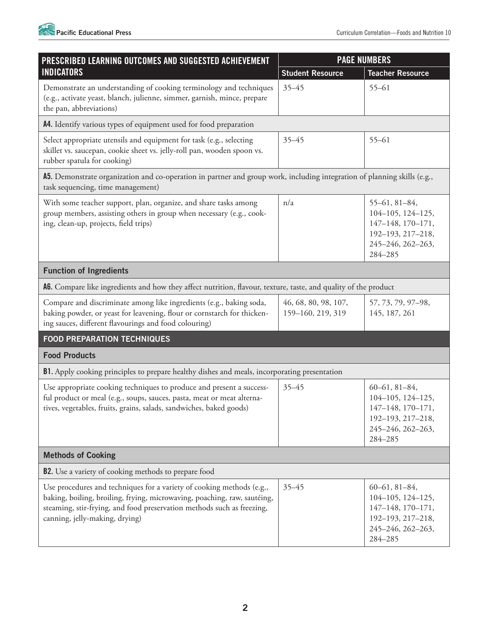| <b>PAGE NUMBERS</b><br>PRESCRIBED LEARNING OUTCOMES AND SUGGESTED ACHIEVEMENT                                                                                                                                                                                 |                                           |                                                                                                                          |  |  |
|---------------------------------------------------------------------------------------------------------------------------------------------------------------------------------------------------------------------------------------------------------------|-------------------------------------------|--------------------------------------------------------------------------------------------------------------------------|--|--|
| <b>INDICATORS</b>                                                                                                                                                                                                                                             | <b>Student Resource</b>                   | <b>Teacher Resource</b>                                                                                                  |  |  |
| Demonstrate an understanding of cooking terminology and techniques<br>(e.g., activate yeast, blanch, julienne, simmer, garnish, mince, prepare<br>the pan, abbreviations)                                                                                     | $35 - 45$                                 | $55 - 61$                                                                                                                |  |  |
| A4. Identify various types of equipment used for food preparation                                                                                                                                                                                             |                                           |                                                                                                                          |  |  |
| Select appropriate utensils and equipment for task (e.g., selecting<br>skillet vs. saucepan, cookie sheet vs. jelly-roll pan, wooden spoon vs.<br>rubber spatula for cooking)                                                                                 | $35 - 45$                                 | $55 - 61$                                                                                                                |  |  |
| A5. Demonstrate organization and co-operation in partner and group work, including integration of planning skills (e.g.,<br>task sequencing, time management)                                                                                                 |                                           |                                                                                                                          |  |  |
| With some teacher support, plan, organize, and share tasks among<br>group members, assisting others in group when necessary (e.g., cook-<br>ing, clean-up, projects, field trips)                                                                             | n/a                                       | $55-61, 81-84,$<br>104-105, 124-125,<br>147-148, 170-171,<br>192-193, 217-218,<br>245-246, 262-263,<br>284-285           |  |  |
| <b>Function of Ingredients</b>                                                                                                                                                                                                                                |                                           |                                                                                                                          |  |  |
| A6. Compare like ingredients and how they affect nutrition, flavour, texture, taste, and quality of the product                                                                                                                                               |                                           |                                                                                                                          |  |  |
| Compare and discriminate among like ingredients (e.g., baking soda,<br>baking powder, or yeast for leavening, flour or cornstarch for thicken-<br>ing sauces, different flavourings and food colouring)                                                       | 46, 68, 80, 98, 107,<br>159-160, 219, 319 | 57, 73, 79, 97-98,<br>145, 187, 261                                                                                      |  |  |
| <b>FOOD PREPARATION TECHNIQUES</b>                                                                                                                                                                                                                            |                                           |                                                                                                                          |  |  |
| <b>Food Products</b>                                                                                                                                                                                                                                          |                                           |                                                                                                                          |  |  |
| B1. Apply cooking principles to prepare healthy dishes and meals, incorporating presentation                                                                                                                                                                  |                                           |                                                                                                                          |  |  |
| Use appropriate cooking techniques to produce and present a success-<br>ful product or meal (e.g., soups, sauces, pasta, meat or meat alterna-<br>tives, vegetables, fruits, grains, salads, sandwiches, baked goods)                                         | $35 - 45$                                 | $60-61, 81-84,$<br>104-105, 124-125,<br>$147 - 148$ , $170 - 171$ ,<br>192-193, 217-218,<br>245-246, 262-263,<br>284-285 |  |  |
| <b>Methods of Cooking</b>                                                                                                                                                                                                                                     |                                           |                                                                                                                          |  |  |
| <b>B2.</b> Use a variety of cooking methods to prepare food                                                                                                                                                                                                   |                                           |                                                                                                                          |  |  |
| Use procedures and techniques for a variety of cooking methods (e.g.,<br>baking, boiling, broiling, frying, microwaving, poaching, raw, sautéing,<br>steaming, stir-frying, and food preservation methods such as freezing,<br>canning, jelly-making, drying) | $35 - 45$                                 | $60-61, 81-84,$<br>$104 - 105$ , $124 - 125$ ,<br>147-148, 170-171,<br>192-193, 217-218,<br>245-246, 262-263,<br>284-285 |  |  |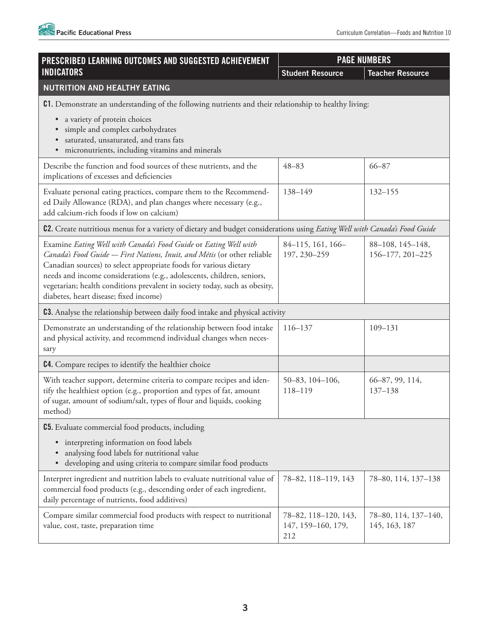

| PRESCRIBED LEARNING OUTCOMES AND SUGGESTED ACHIEVEMENT                                                                                                                                                                                                                                                                                                                                                              | <b>PAGE NUMBERS</b>                               |                                       |  |  |
|---------------------------------------------------------------------------------------------------------------------------------------------------------------------------------------------------------------------------------------------------------------------------------------------------------------------------------------------------------------------------------------------------------------------|---------------------------------------------------|---------------------------------------|--|--|
| <b>INDICATORS</b>                                                                                                                                                                                                                                                                                                                                                                                                   | <b>Student Resource</b>                           | <b>Teacher Resource</b>               |  |  |
| NUTRITION AND HEALTHY EATING                                                                                                                                                                                                                                                                                                                                                                                        |                                                   |                                       |  |  |
| C1. Demonstrate an understanding of the following nutrients and their relationship to healthy living:                                                                                                                                                                                                                                                                                                               |                                                   |                                       |  |  |
| · a variety of protein choices<br>simple and complex carbohydrates<br>saturated, unsaturated, and trans fats<br>micronutrients, including vitamins and minerals<br>$\bullet$                                                                                                                                                                                                                                        |                                                   |                                       |  |  |
| Describe the function and food sources of these nutrients, and the<br>implications of excesses and deficiencies                                                                                                                                                                                                                                                                                                     | $48 - 83$                                         | $66 - 87$                             |  |  |
| Evaluate personal eating practices, compare them to the Recommend-<br>ed Daily Allowance (RDA), and plan changes where necessary (e.g.,<br>add calcium-rich foods if low on calcium)                                                                                                                                                                                                                                | 138-149                                           | $132 - 155$                           |  |  |
| C2. Create nutritious menus for a variety of dietary and budget considerations using Eating Well with Canada's Food Guide                                                                                                                                                                                                                                                                                           |                                                   |                                       |  |  |
| Examine Eating Well with Canada's Food Guide or Eating Well with<br>Canada's Food Guide - First Nations, Inuit, and Métis (or other reliable<br>Canadian sources) to select appropriate foods for various dietary<br>needs and income considerations (e.g., adolescents, children, seniors,<br>vegetarian; health conditions prevalent in society today, such as obesity,<br>diabetes, heart disease; fixed income) | 84-115, 161, 166-<br>197, 230-259                 | 88-108, 145-148,<br>156-177, 201-225  |  |  |
| <b>C3.</b> Analyse the relationship between daily food intake and physical activity                                                                                                                                                                                                                                                                                                                                 |                                                   |                                       |  |  |
| Demonstrate an understanding of the relationship between food intake<br>and physical activity, and recommend individual changes when neces-<br>sary                                                                                                                                                                                                                                                                 | 116-137                                           | 109-131                               |  |  |
| C4. Compare recipes to identify the healthier choice                                                                                                                                                                                                                                                                                                                                                                |                                                   |                                       |  |  |
| With teacher support, determine criteria to compare recipes and iden-<br>tify the healthiest option (e.g., proportion and types of fat, amount<br>of sugar, amount of sodium/salt, types of flour and liquids, cooking<br>method)                                                                                                                                                                                   | 50-83, 104-106,<br>118-119                        | 66-87, 99, 114,<br>$137 - 138$        |  |  |
| <b>C5.</b> Evaluate commercial food products, including                                                                                                                                                                                                                                                                                                                                                             |                                                   |                                       |  |  |
| interpreting information on food labels<br>$\bullet$<br>analysing food labels for nutritional value<br>developing and using criteria to compare similar food products<br>$\bullet$                                                                                                                                                                                                                                  |                                                   |                                       |  |  |
| Interpret ingredient and nutrition labels to evaluate nutritional value of<br>commercial food products (e.g., descending order of each ingredient,<br>daily percentage of nutrients, food additives)                                                                                                                                                                                                                | 78-82, 118-119, 143                               | 78-80, 114, 137-138                   |  |  |
| Compare similar commercial food products with respect to nutritional<br>value, cost, taste, preparation time                                                                                                                                                                                                                                                                                                        | 78-82, 118-120, 143,<br>147, 159-160, 179,<br>212 | 78-80, 114, 137-140,<br>145, 163, 187 |  |  |